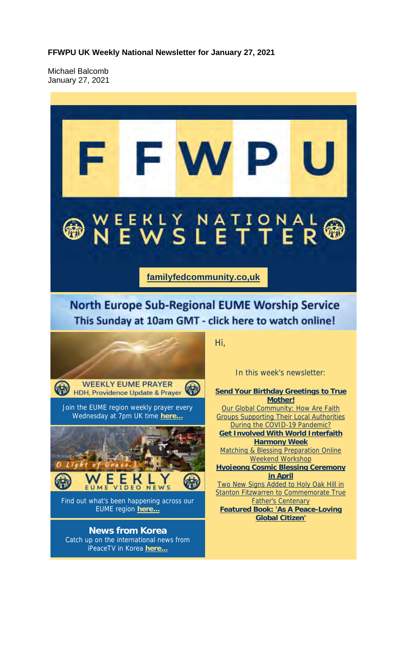**FFWPU UK Weekly National Newsletter for January 27, 2021**

Michael Balcomb January 27, 2021

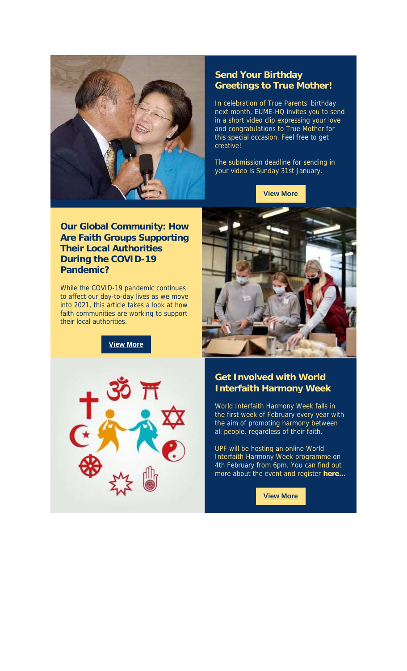

### **Send Your Birthday Greetings to True Mother!**

In celebration of True Parents' birthday next month, EUME-HQ invites you to send in a short video clip expressing your love and congratulations to True Mother for this special occasion. Feel free to get creative!

The submission deadline for sending in your video is Sunday 31st January.

**View More**

**Our Global Community: How Are Faith Groups Supporting Their Local Authorities During the COVID-19 Pandemic?**

While the COVID-19 pandemic continues to affect our day-to-day lives as we move into 2021, this article takes a look at how faith communities are working to support their local authorities.

**View More**





# **Get Involved with World Interfaith Harmony Week**

World Interfaith Harmony Week falls in the first week of February every year with the aim of promoting harmony between all people, regardless of their faith.

UPF will be hosting an online World Interfaith Harmony Week programme on 4th February from 6pm. You can find out more about the event and register **here...**

**View More**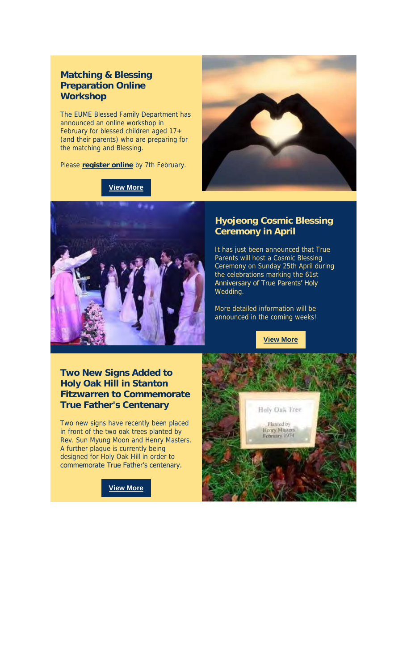## **Matching & Blessing Preparation Online Workshop**

The EUME Blessed Family Department has announced an online workshop in February for blessed children aged 17+ (and their parents) who are preparing for the matching and Blessing.

Please **register online** by 7th February.

#### **View More**





### **Hyojeong Cosmic Blessing Ceremony in April**

It has just been announced that True Parents will host a Cosmic Blessing Ceremony on Sunday 25th April during the celebrations marking the 61st Anniversary of True Parents' Holy Wedding.

More detailed information will be announced in the coming weeks!

**View More**

**Two New Signs Added to Holy Oak Hill in Stanton Fitzwarren to Commemorate True Father's Centenary**

Two new signs have recently been placed in front of the two oak trees planted by Rev. Sun Myung Moon and Henry Masters. A further plaque is currently being designed for Holy Oak Hill in order to commemorate True Father's centenary.

**View More**

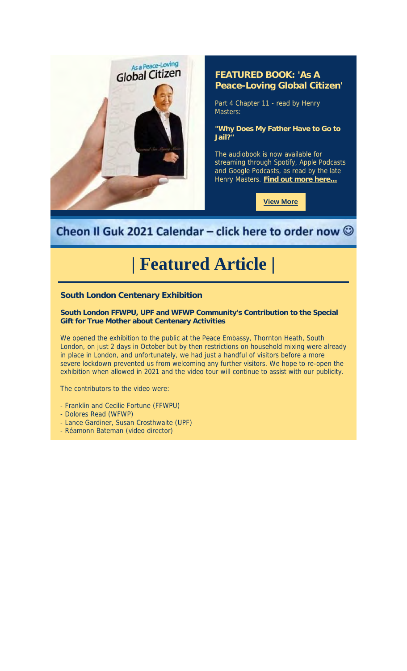

# **FEATURED BOOK: 'As A Peace-Loving Global Citizen'**

Part 4 Chapter 11 - read by Henry Masters:

**"Why Does My Father Have to Go to Jail?"**

The audiobook is now available for streaming through Spotify, Apple Podcasts and Google Podcasts, as read by the late Henry Masters. **Find out more here...**

**View More**

# Cheon Il Guk 2021 Calendar - click here to order now  $\odot$

# **| Featured Article |**

**South London Centenary Exhibition**

**South London FFWPU, UPF and WFWP Community's Contribution to the Special Gift for True Mother about Centenary Activities**

We opened the exhibition to the public at the Peace Embassy, Thornton Heath, South London, on just 2 days in October but by then restrictions on household mixing were already in place in London, and unfortunately, we had just a handful of visitors before a more severe lockdown prevented us from welcoming any further visitors. We hope to re-open the exhibition when allowed in 2021 and the video tour will continue to assist with our publicity.

The contributors to the video were:

- Franklin and Cecilie Fortune (FFWPU)
- Dolores Read (WFWP)
- Lance Gardiner, Susan Crosthwaite (UPF)
- Réamonn Bateman (video director)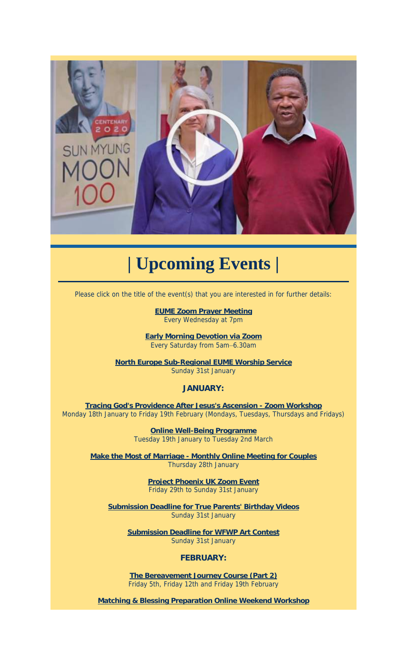

# **| Upcoming Events |**

Please click on the title of the event(s) that you are interested in for further details:

**EUME Zoom Prayer Meeting** Every Wednesday at 7pm

**Early Morning Devotion via Zoom** Every Saturday from 5am–6.30am

**North Europe Sub-Regional EUME Worship Service** Sunday 31st January

#### **JANUARY:**

**Tracing God's Providence After Jesus's Ascension - Zoom Workshop** Monday 18th January to Friday 19th February (Mondays, Tuesdays, Thursdays and Fridays)

> **Online Well-Being Programme** Tuesday 19th January to Tuesday 2nd March

**Make the Most of Marriage - Monthly Online Meeting for Couples** Thursday 28th January

> **Project Phoenix UK Zoom Event** Friday 29th to Sunday 31st January

**Submission Deadline for True Parents' Birthday Videos** Sunday 31st January

> **Submission Deadline for WFWP Art Contest** Sunday 31st January

> > **FEBRUARY:**

**The Bereavement Journey Course (Part 2)** Friday 5th, Friday 12th and Friday 19th February

**Matching & Blessing Preparation Online Weekend Workshop**